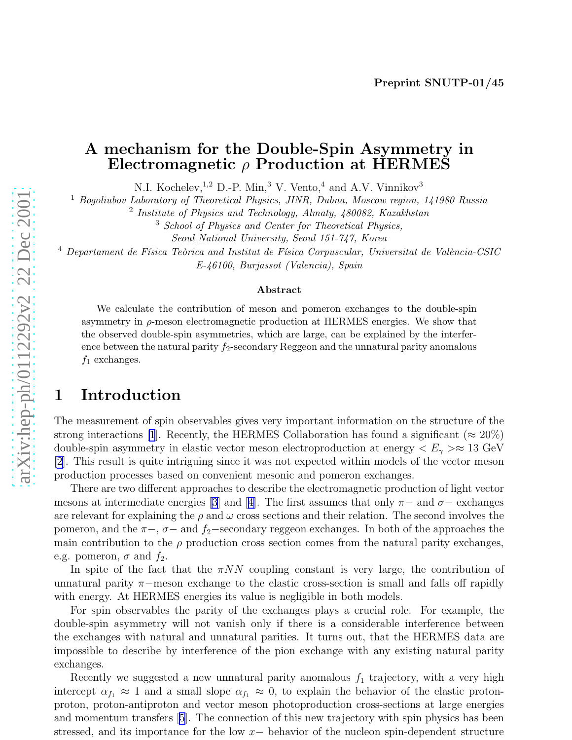#### A mechanism for the Double-Spin Asymmetry in Electromagnetic  $\rho$  Production at HERMES

N.I. Kochelev,<sup>1,2</sup> D.-P. Min,<sup>3</sup> V. Vento,<sup>4</sup> and A.V. Vinnikov<sup>3</sup>

<sup>1</sup> Bogoliubov Laboratory of Theoretical Physics, JINR, Dubna, Moscow region, 141980 Russia

<sup>2</sup> Institute of Physics and Technology, Almaty, 480082, Kazakhstan

<sup>3</sup> School of Physics and Center for Theoretical Physics,

Seoul National University, Seoul 151-747, Korea

 $^4$  Departament de Física Teòrica and Institut de Física Corpuscular, Universitat de València-CSIC E-46100, Burjassot (Valencia), Spain

#### Abstract

We calculate the contribution of meson and pomeron exchanges to the double-spin asymmetry in  $\rho$ -meson electromagnetic production at HERMES energies. We show that the observed double-spin asymmetries, which are large, can be explained by the interference between the natural parity  $f_2$ -secondary Reggeon and the unnatural parity anomalous  $f_1$  exchanges.

#### 1 Introduction

The measurement of spin observables gives very important information on the structure of the strong interactions [\[1](#page-5-0)]. Recently, the HERMES Collaboration has found a significant ( $\approx 20\%)$ double-spin asymmetry in elastic vector meson electroproduction at energy  $\langle E_\gamma \rangle \approx 13 \text{ GeV}$ [\[2\]](#page-5-0). This result is quite intriguing since it was not expected within models of the vector meson production processes based on convenient mesonic and pomeron exchanges.

There are two different approaches to describe the electromagnetic production of light vector mesons at intermediate energies [\[3](#page-5-0)]and [[4\]](#page-5-0). The first assumes that only  $\pi-$  and  $\sigma-$  exchanges are relevant for explaining the  $\rho$  and  $\omega$  cross sections and their relation. The second involves the pomeron, and the  $\pi$ -,  $\sigma$ - and  $f_2$ -secondary reggeon exchanges. In both of the approaches the main contribution to the  $\rho$  production cross section comes from the natural parity exchanges, e.g. pomeron,  $\sigma$  and  $f_2$ .

In spite of the fact that the  $\pi NN$  coupling constant is very large, the contribution of unnatural parity  $\pi$ -meson exchange to the elastic cross-section is small and falls off rapidly with energy. At HERMES energies its value is negligible in both models.

For spin observables the parity of the exchanges plays a crucial role. For example, the double-spin asymmetry will not vanish only if there is a considerable interference between the exchanges with natural and unnatural parities. It turns out, that the HERMES data are impossible to describe by interference of the pion exchange with any existing natural parity exchanges.

Recently we suggested a new unnatural parity anomalous  $f_1$  trajectory, with a very high intercept  $\alpha_{f_1} \approx 1$  and a small slope  $\alpha_{f_1} \approx 0$ , to explain the behavior of the elastic protonproton, proton-antiproton and vector meson photoproduction cross-sections at large energies and momentum transfers [\[5](#page-5-0)]. The connection of this new trajectory with spin physics has been stressed, and its importance for the low  $x-$  behavior of the nucleon spin-dependent structure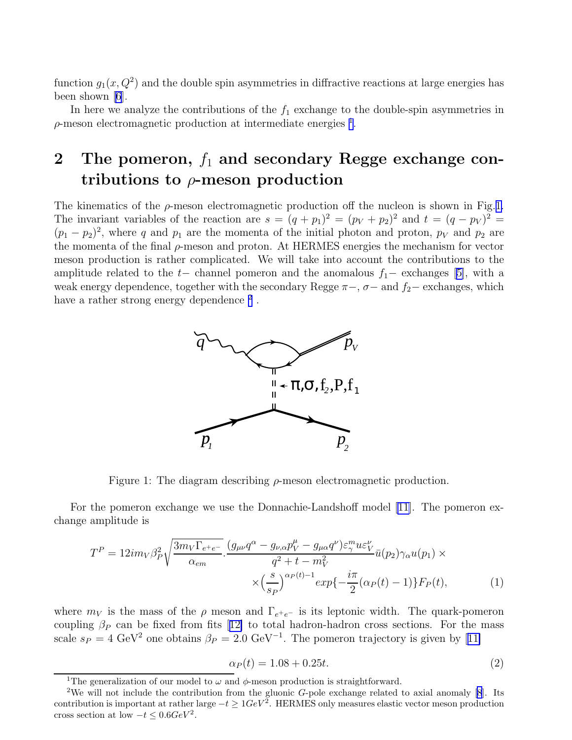<span id="page-1-0"></span>function  $g_1(x, Q^2)$  and the double spin asymmetries in diffractive reactions at large energies has been shown [\[6](#page-5-0)].

In here we analyze the contributions of the  $f_1$  exchange to the double-spin asymmetries in  $\rho$ -meson electromagnetic production at intermediate energies  $^1$ .

# 2 The pomeron,  $f_1$  and secondary Regge exchange contributions to  $\rho$ -meson production

The kinematics of the  $\rho$ -meson electromagnetic production off the nucleon is shown in Fig.1. The invariant variables of the reaction are  $s = (q+p_1)^2 = (p_V + p_2)^2$  and  $t = (q-p_V)^2 =$  $(p_1 - p_2)^2$ , where q and  $p_1$  are the momenta of the initial photon and proton,  $p_V$  and  $p_2$  are the momenta of the final  $\rho$ -meson and proton. At HERMES energies the mechanism for vector meson production is rather complicated. We will take into account the contributions to the amplituderelated to the  $t-$  channel pomeron and the anomalous  $f_1-$  exchanges [[5\]](#page-5-0), with a weak energy dependence, together with the secondary Regge  $\pi$ –,  $\sigma$ – and  $f_2$ – exchanges, which have a rather strong energy dependence  $^2$  .



Figure 1: The diagram describing  $\rho$ -meson electromagnetic production.

For the pomeron exchange we use the Donnachie-Landshoff model [\[11\]](#page-6-0). The pomeron exchange amplitude is

$$
T^{P} = 12im_{V}\beta_{P}^{2}\sqrt{\frac{3m_{V}\Gamma_{e^{+}e^{-}}}{\alpha_{em}}}\cdot\frac{(g_{\mu\nu}q^{\alpha} - g_{\nu,\alpha}p_{V}^{\mu} - g_{\mu\alpha}q^{\nu})\varepsilon_{\gamma}^{m}u\varepsilon_{V}^{\nu}}{q^{2} + t - m_{V}^{2}}\bar{u}(p_{2})\gamma_{\alpha}u(p_{1}) \times \times\left(\frac{s}{s_{P}}\right)^{\alpha_{P}(t)-1}exp\{-\frac{i\pi}{2}(\alpha_{P}(t)-1)\}F_{P}(t),
$$
\n(1)

where  $m_V$  is the mass of the  $\rho$  meson and  $\Gamma_{e^+e^-}$  is its leptonic width. The quark-pomeron coupling $\beta_P$  can be fixed from fits [[12\]](#page-6-0) to total hadron-hadron cross sections. For the mass scale $s_P = 4 \text{ GeV}^2$  one obtains  $\beta_P = 2.0 \text{ GeV}^{-1}$ . The pomeron trajectory is given by [[11\]](#page-6-0)

$$
\alpha_P(t) = 1.08 + 0.25t.\tag{2}
$$

<sup>&</sup>lt;sup>1</sup>The generalization of our model to  $\omega$  and  $\phi$ -meson production is straightforward.

<sup>&</sup>lt;sup>2</sup>We will not include the contribution from the gluonic G-pole exchange related to axial anomaly  $[8]$ . Its contribution is important at rather large  $-t \geq 1 GeV^2$ . HERMES only measures elastic vector meson production cross section at low  $-t \leq 0.6 GeV^2$ .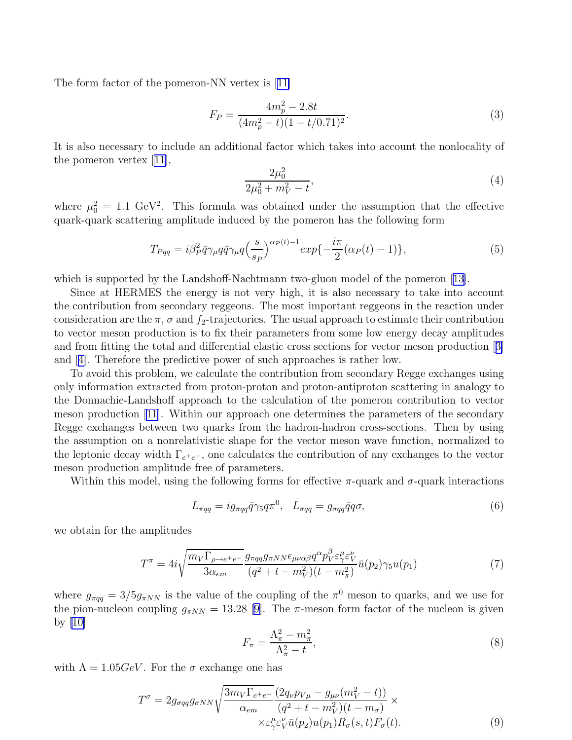<span id="page-2-0"></span>The form factor of the pomeron-NN vertex is[[11\]](#page-6-0)

$$
F_P = \frac{4m_p^2 - 2.8t}{(4m_p^2 - t)(1 - t/0.71)^2}.
$$
\n(3)

It is also necessary to include an additional factor which takes into account the nonlocality of the pomeron vertex [\[11\]](#page-6-0),

$$
\frac{2\mu_0^2}{2\mu_0^2 + m_V^2 - t},\tag{4}
$$

where  $\mu_0^2 = 1.1 \text{ GeV}^2$ . This formula was obtained under the assumption that the effective quark-quark scattering amplitude induced by the pomeron has the following form

$$
T_{Pqq} = i\beta_P^2 \bar{q}\gamma_\mu q \bar{q}\gamma_\mu q \left(\frac{s}{s_P}\right)^{\alpha_P(t)-1} \exp\{-\frac{i\pi}{2}(\alpha_P(t)-1)\},\tag{5}
$$

which is supported by the Landshoff-Nachtmann two-gluon model of the pomeron [\[13\]](#page-6-0).

Since at HERMES the energy is not very high, it is also necessary to take into account the contribution from secondary reggeons. The most important reggeons in the reaction under consideration are the  $\pi$ ,  $\sigma$  and  $f_2$ -trajectories. The usual approach to estimate their contribution to vector meson production is to fix their parameters from some low energy decay amplitudes and from fitting the total and differential elastic cross sections for vector meson production[[3\]](#page-5-0) and[[4\]](#page-5-0). Therefore the predictive power of such approaches is rather low.

To avoid this problem, we calculate the contribution from secondary Regge exchanges using only information extracted from proton-proton and proton-antiproton scattering in analogy to the Donnachie-Landshoff approach to the calculation of the pomeron contribution to vector meson production[[11\]](#page-6-0). Within our approach one determines the parameters of the secondary Regge exchanges between two quarks from the hadron-hadron cross-sections. Then by using the assumption on a nonrelativistic shape for the vector meson wave function, normalized to the leptonic decay width  $\Gamma_{e^+e^-}$ , one calculates the contribution of any exchanges to the vector meson production amplitude free of parameters.

Within this model, using the following forms for effective  $\pi$ -quark and  $\sigma$ -quark interactions

$$
L_{\pi qq} = ig_{\pi qq} \bar{q} \gamma_5 q \pi^0, \quad L_{\sigma qq} = g_{\sigma qq} \bar{q} q \sigma,
$$
\n<sup>(6)</sup>

we obtain for the amplitudes

$$
T^{\pi} = 4i\sqrt{\frac{m_V\Gamma_{\rho \to e^+e^-}}{3\alpha_{em}}} \frac{g_{\pi qq}g_{\pi NN}\epsilon_{\mu\nu\alpha\beta}q^{\alpha}p_V^{\beta}\varepsilon_{\gamma}^{\mu}\varepsilon_{V}^{\nu}}{(q^2+t-m_V^2)(t-m_{\pi}^2)}\bar{u}(p_2)\gamma_5 u(p_1)
$$
\n<sup>(7)</sup>

where  $g_{\pi qq} = 3/5 g_{\pi NN}$  is the value of the coupling of the  $\pi^0$  meson to quarks, and we use for thepion-nucleon coupling  $g_{\pi NN} = 13.28$  [[9\]](#page-5-0). The  $\pi$ -meson form factor of the nucleon is given by  $|10|$ 

$$
F_{\pi} = \frac{\Lambda_{\pi}^2 - m_{\pi}^2}{\Lambda_{\pi}^2 - t},\tag{8}
$$

with  $\Lambda = 1.05 GeV$ . For the  $\sigma$  exchange one has

$$
T^{\sigma} = 2g_{\sigma qq}g_{\sigma NN} \sqrt{\frac{3m_V \Gamma_{e^+e^-}}{\alpha_{em}} \frac{(2q_{\nu}p_{V\mu} - g_{\mu\nu}(m_V^2 - t))}{(q^2 + t - m_V^2)(t - m_{\sigma})}} \times \times \varepsilon_{\gamma}^{\mu} \varepsilon_{V}^{\nu} \bar{u}(p_2) u(p_1) R_{\sigma}(s, t) F_{\sigma}(t).
$$
\n(9)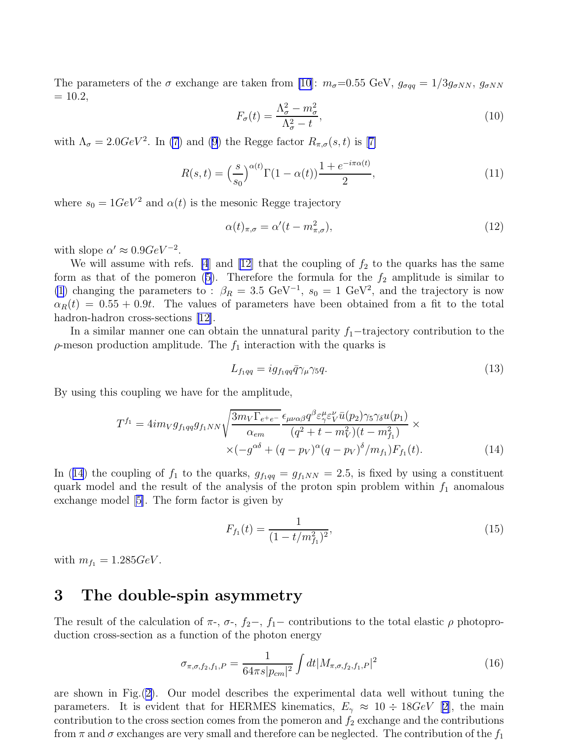The parameters of the  $\sigma$  exchange are taken from [\[10](#page-5-0)]:  $m_{\sigma}=0.55$  GeV,  $g_{\sigma qq} = 1/3g_{\sigma NN}$ ,  $g_{\sigma NN}$  $= 10.2$ ,

$$
F_{\sigma}(t) = \frac{\Lambda_{\sigma}^2 - m_{\sigma}^2}{\Lambda_{\sigma}^2 - t},\tag{10}
$$

with $\Lambda_{\sigma} = 2.0 GeV^2$ . In [\(7](#page-2-0)) and [\(9\)](#page-2-0) the Regge factor  $R_{\pi,\sigma}(s,t)$  is [[7\]](#page-5-0)

$$
R(s,t) = \left(\frac{s}{s_0}\right)^{\alpha(t)} \Gamma(1-\alpha(t)) \frac{1+e^{-i\pi\alpha(t)}}{2},\tag{11}
$$

where  $s_0 = 1 GeV^2$  and  $\alpha(t)$  is the mesonic Regge trajectory

$$
\alpha(t)_{\pi,\sigma} = \alpha'(t - m_{\pi,\sigma}^2),\tag{12}
$$

with slope  $\alpha' \approx 0.9 GeV^{-2}$ .

We will assume with refs. [\[4](#page-5-0)] and [\[12](#page-6-0)] that the coupling of  $f_2$  to the quarks has the same formas that of the pomeron ([5\)](#page-2-0). Therefore the formula for the  $f_2$  amplitude is similar to [\(1](#page-1-0)) changing the parameters to :  $\beta_R = 3.5 \text{ GeV}^{-1}$ ,  $s_0 = 1 \text{ GeV}^2$ , and the trajectory is now  $\alpha_R(t) = 0.55 + 0.9t$ . The values of parameters have been obtained from a fit to the total hadron-hadroncross-sections [[12\]](#page-6-0).

In a similar manner one can obtain the unnatural parity  $f_1$ −trajectory contribution to the  $\rho$ -meson production amplitude. The  $f_1$  interaction with the quarks is

$$
L_{f_1qq} = ig_{f_1qq}\bar{q}\gamma_\mu\gamma_5q.\tag{13}
$$

By using this coupling we have for the amplitude,

$$
T^{f_1} = 4im_Vg_{f_1qq}g_{f_1NN}\sqrt{\frac{3m_V\Gamma_{e^+e^-}}{\alpha_{em}}}\frac{\epsilon_{\mu\nu\alpha\beta}q^{\beta}\varepsilon_{\gamma}^{\mu}\varepsilon_{V}^{\nu}\bar{u}(p_2)\gamma_5\gamma_{\delta}u(p_1)}{(q^2+t-m_V^2)(t-m_{f_1}^2)} \times \times(-g^{\alpha\delta}+(q-p_V)^{\alpha}(q-p_V)^{\delta}/m_{f_1})F_{f_1}(t).
$$
\n(14)

In (14) the coupling of  $f_1$  to the quarks,  $g_{f_1qq} = g_{f_1NN} = 2.5$ , is fixed by using a constituent quark model and the result of the analysis of the proton spin problem within  $f_1$  anomalous exchange model[[5\]](#page-5-0). The form factor is given by

$$
F_{f_1}(t) = \frac{1}{(1 - t/m_{f_1}^2)^2},\tag{15}
$$

with  $m_{f_1} = 1.285 \text{GeV}$ .

#### 3 The double-spin asymmetry

The result of the calculation of  $\pi$ -,  $\sigma$ -,  $f_2$ -,  $f_1$ - contributions to the total elastic  $\rho$  photoproduction cross-section as a function of the photon energy

$$
\sigma_{\pi,\sigma,f_2,f_1,P} = \frac{1}{64\pi s|p_{cm}|^2} \int dt |M_{\pi,\sigma,f_2,f_1,P}|^2 \tag{16}
$$

are shown in Fig.([2\)](#page-4-0). Our model describes the experimental data well without tuning the parameters. It is evident that for HERMES kinematics,  $E_{\gamma} \approx 10 \div 18 \text{GeV}$  [\[2](#page-5-0)], the main contribution to the cross section comes from the pomeron and  $f_2$  exchange and the contributions from  $\pi$  and  $\sigma$  exchanges are very small and therefore can be neglected. The contribution of the  $f_1$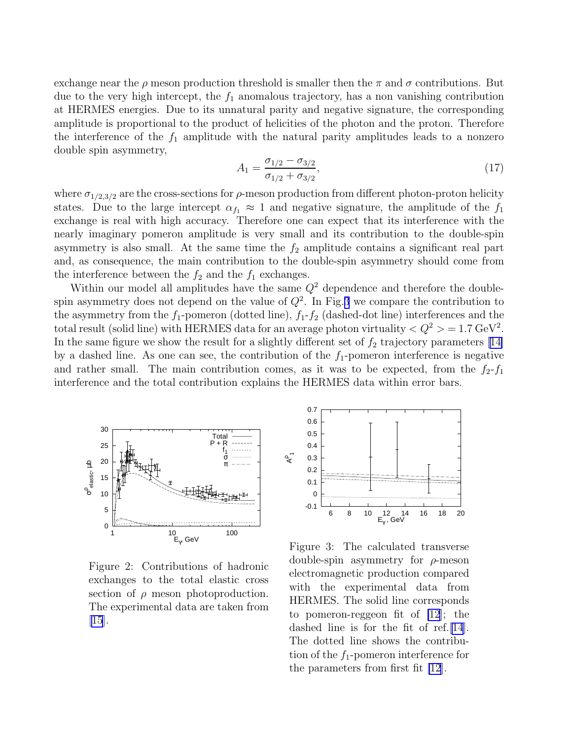<span id="page-4-0"></span>exchange near the  $\rho$  meson production threshold is smaller then the  $\pi$  and  $\sigma$  contributions. But due to the very high intercept, the  $f_1$  anomalous trajectory, has a non vanishing contribution at HERMES energies. Due to its unnatural parity and negative signature, the corresponding amplitude is proportional to the product of helicities of the photon and the proton. Therefore the interference of the  $f_1$  amplitude with the natural parity amplitudes leads to a nonzero double spin asymmetry,

$$
A_1 = \frac{\sigma_{1/2} - \sigma_{3/2}}{\sigma_{1/2} + \sigma_{3/2}},\tag{17}
$$

where  $\sigma_{1/2,3/2}$  are the cross-sections for  $\rho$ -meson production from different photon-proton helicity states. Due to the large intercept  $\alpha_{f_1} \approx 1$  and negative signature, the amplitude of the  $f_1$ exchange is real with high accuracy. Therefore one can expect that its interference with the nearly imaginary pomeron amplitude is very small and its contribution to the double-spin asymmetry is also small. At the same time the  $f_2$  amplitude contains a significant real part and, as consequence, the main contribution to the double-spin asymmetry should come from the interference between the  $f_2$  and the  $f_1$  exchanges.

Within our model all amplitudes have the same  $Q^2$  dependence and therefore the doublespin asymmetry does not depend on the value of  $Q^2$ . In Fig.3 we compare the contribution to the asymmetry from the  $f_1$ -pomeron (dotted line),  $f_1$ - $f_2$  (dashed-dot line) interferences and the total result (solid line) with HERMES data for an average photon virtuality  $\langle Q^2 \rangle = 1.7 \text{ GeV}^2$ . Inthe same figure we show the result for a slightly different set of  $f_2$  trajectory parameters [[14\]](#page-6-0) by a dashed line. As one can see, the contribution of the  $f_1$ -pomeron interference is negative and rather small. The main contribution comes, as it was to be expected, from the  $f_2-f_1$ interference and the total contribution explains the HERMES data within error bars.



Figure 2: Contributions of hadronic exchanges to the total elastic cross section of  $\rho$  meson photoproduction. The experimental data are taken from [\[15](#page-6-0)].



Figure 3: The calculated transverse double-spin asymmetry for  $\rho$ -meson electromagnetic production compared with the experimental data from HERMES. The solid line corresponds to pomeron-reggeon fit of [\[12](#page-6-0)]; the dashed line is for the fit of ref.[\[14\]](#page-6-0). The dotted line shows the contribution of the  $f_1$ -pomeron interference for the parameters from first fit [\[12](#page-6-0)].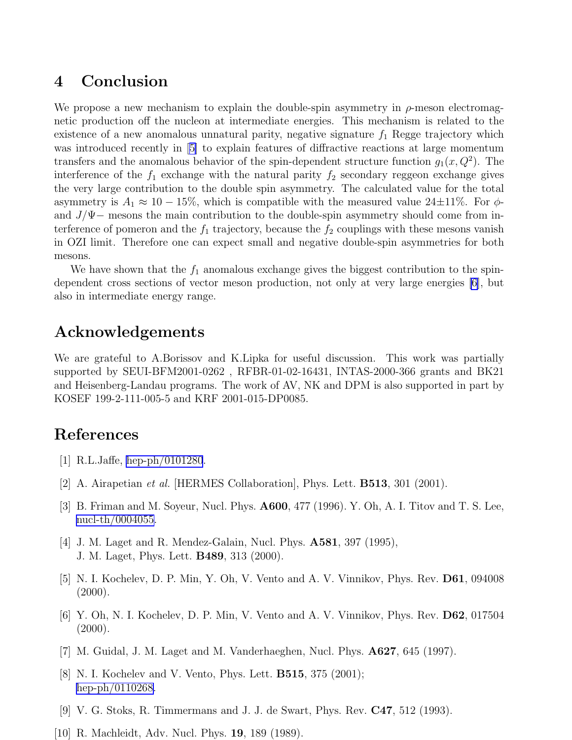### <span id="page-5-0"></span>4 Conclusion

We propose a new mechanism to explain the double-spin asymmetry in  $\rho$ -meson electromagnetic production off the nucleon at intermediate energies. This mechanism is related to the existence of a new anomalous unnatural parity, negative signature  $f_1$  Regge trajectory which was introduced recently in [5] to explain features of diffractive reactions at large momentum transfers and the anomalous behavior of the spin-dependent structure function  $g_1(x, Q^2)$ . The interference of the  $f_1$  exchange with the natural parity  $f_2$  secondary reggeon exchange gives the very large contribution to the double spin asymmetry. The calculated value for the total asymmetry is  $A_1 \approx 10 - 15\%$ , which is compatible with the measured value 24±11%. For  $\phi$ and  $J/\Psi$  – mesons the main contribution to the double-spin asymmetry should come from interference of pomeron and the  $f_1$  trajectory, because the  $f_2$  couplings with these mesons vanish in OZI limit. Therefore one can expect small and negative double-spin asymmetries for both mesons.

We have shown that the  $f_1$  anomalous exchange gives the biggest contribution to the spindependent cross sections of vector meson production, not only at very large energies [6], but also in intermediate energy range.

### Acknowledgements

We are grateful to A.Borissov and K.Lipka for useful discussion. This work was partially supported by SEUI-BFM2001-0262 , RFBR-01-02-16431, INTAS-2000-366 grants and BK21 and Heisenberg-Landau programs. The work of AV, NK and DPM is also supported in part by KOSEF 199-2-111-005-5 and KRF 2001-015-DP0085.

## References

- [1] R.L.Jaffe, [hep-ph/0101280](http://arxiv.org/abs/hep-ph/0101280).
- [2] A. Airapetian et al. [HERMES Collaboration], Phys. Lett. B513, 301 (2001).
- [3] B. Friman and M. Soyeur, Nucl. Phys. A600, 477 (1996). Y. Oh, A. I. Titov and T. S. Lee, [nucl-th/0004055.](http://arxiv.org/abs/nucl-th/0004055)
- [4] J. M. Laget and R. Mendez-Galain, Nucl. Phys. A581, 397 (1995), J. M. Laget, Phys. Lett. B489, 313 (2000).
- [5] N. I. Kochelev, D. P. Min, Y. Oh, V. Vento and A. V. Vinnikov, Phys. Rev. D61, 094008  $(2000).$
- [6] Y. Oh, N. I. Kochelev, D. P. Min, V. Vento and A. V. Vinnikov, Phys. Rev. D62, 017504  $(2000).$
- [7] M. Guidal, J. M. Laget and M. Vanderhaeghen, Nucl. Phys. A627, 645 (1997).
- [8] N. I. Kochelev and V. Vento, Phys. Lett. B515, 375 (2001); [hep-ph/0110268.](http://arxiv.org/abs/hep-ph/0110268)
- [9] V. G. Stoks, R. Timmermans and J. J. de Swart, Phys. Rev. C47, 512 (1993).
- [10] R. Machleidt, Adv. Nucl. Phys. 19, 189 (1989).